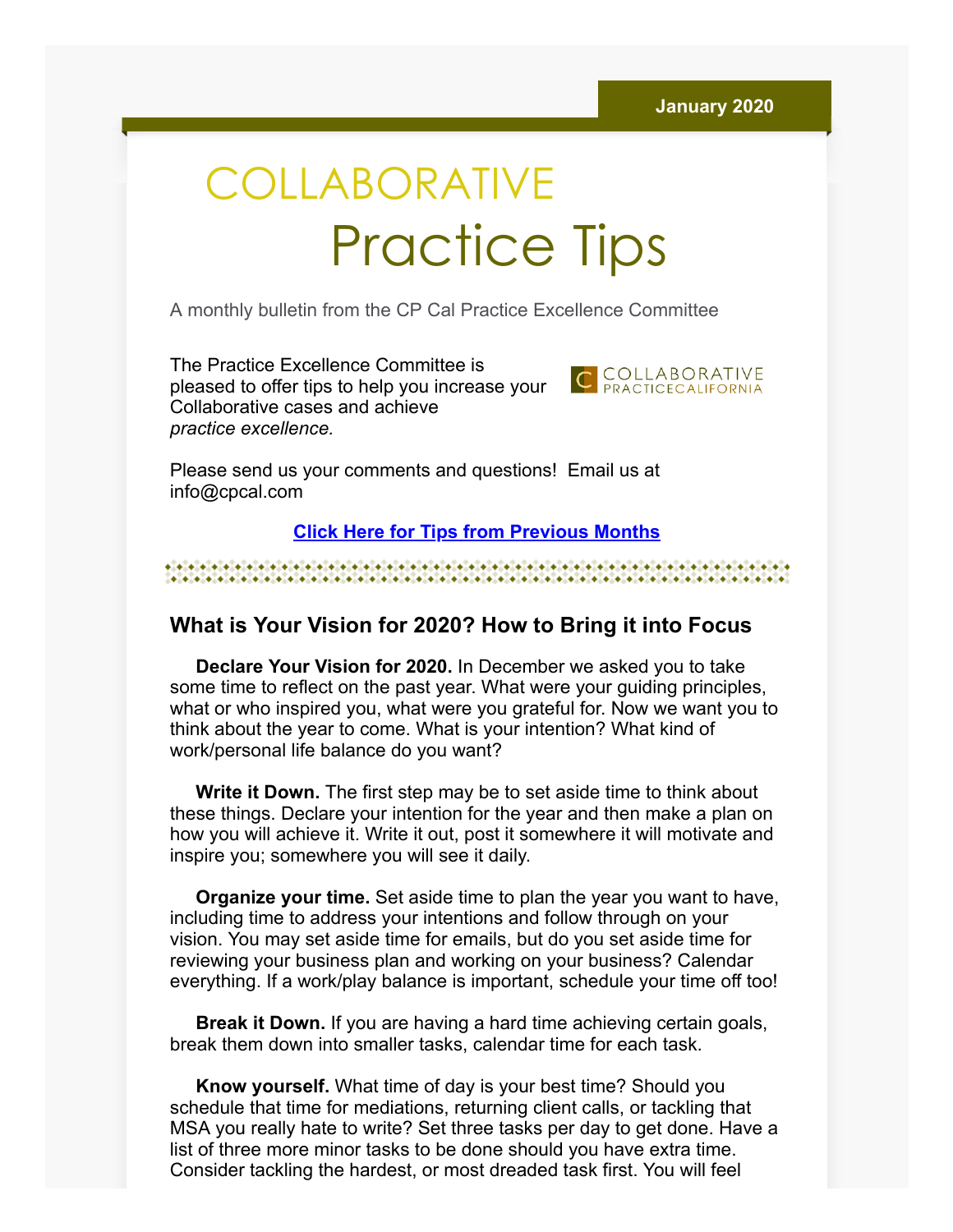# COLLABORATIVE Practice Tips

A monthly bulletin from the CP Cal Practice Excellence Committee

The Practice Excellence Committee is pleased to offer tips to help you increase your Collaborative cases and achieve *practice excellence.*



Please send us your comments and questions! Email us at info@cpcal.com

## **[Click Here for Tips from Previous Months](http://www.cpcal.com/for-professionals/practice-tips-newsletter/)**

#### 

# **What is Your Vision for 2020? How to Bring it into Focus**

 **Declare Your Vision for 2020.** In December we asked you to take some time to reflect on the past year. What were your guiding principles, what or who inspired you, what were you grateful for. Now we want you to think about the year to come. What is your intention? What kind of work/personal life balance do you want?

 **Write it Down.** The first step may be to set aside time to think about these things. Declare your intention for the year and then make a plan on how you will achieve it. Write it out, post it somewhere it will motivate and inspire you; somewhere you will see it daily.

 **Organize your time.** Set aside time to plan the year you want to have, including time to address your intentions and follow through on your vision. You may set aside time for emails, but do you set aside time for reviewing your business plan and working on your business? Calendar everything. If a work/play balance is important, schedule your time off too!

 **Break it Down.** If you are having a hard time achieving certain goals, break them down into smaller tasks, calendar time for each task.

 **Know yourself.** What time of day is your best time? Should you schedule that time for mediations, returning client calls, or tackling that MSA you really hate to write? Set three tasks per day to get done. Have a list of three more minor tasks to be done should you have extra time. Consider tackling the hardest, or most dreaded task first. You will feel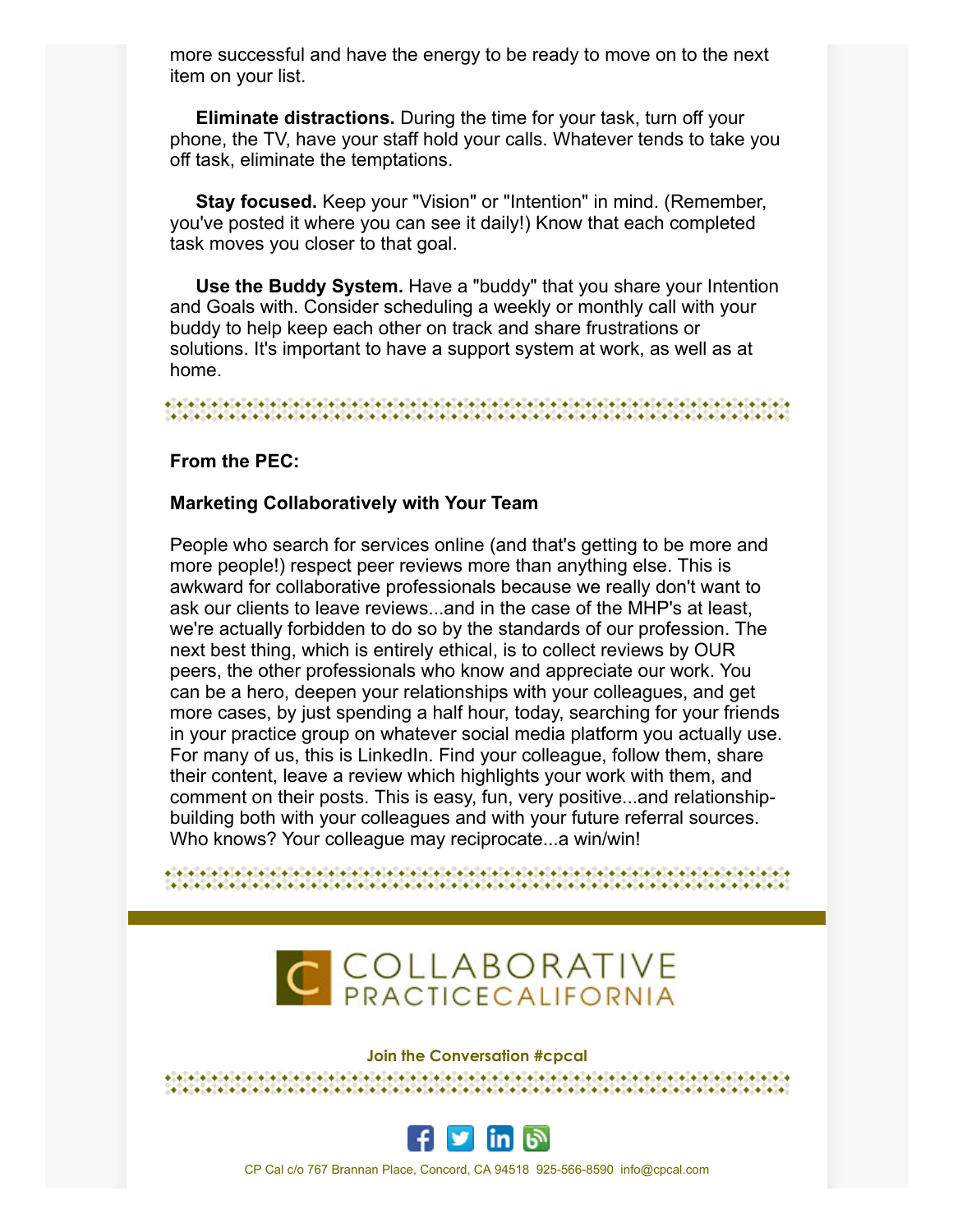more successful and have the energy to be ready to move on to the next item on your list.

 **Eliminate distractions.** During the time for your task, turn off your phone, the TV, have your staff hold your calls. Whatever tends to take you off task, eliminate the temptations.

 **Stay focused.** Keep your "Vision" or "Intention" in mind. (Remember, you've posted it where you can see it daily!) Know that each completed task moves you closer to that goal.

 **Use the Buddy System.** Have a "buddy" that you share your Intention and Goals with. Consider scheduling a weekly or monthly call with your buddy to help keep each other on track and share frustrations or solutions. It's important to have a support system at work, as well as at home.

## **From the PEC:**

### **Marketing Collaboratively with Your Team**

People who search for services online (and that's getting to be more and more people!) respect peer reviews more than anything else. This is awkward for collaborative professionals because we really don't want to ask our clients to leave reviews...and in the case of the MHP's at least, we're actually forbidden to do so by the standards of our profession. The next best thing, which is entirely ethical, is to collect reviews by OUR peers, the other professionals who know and appreciate our work. You can be a hero, deepen your relationships with your colleagues, and get more cases, by just spending a half hour, today, searching for your friends in your practice group on whatever social media platform you actually use. For many of us, this is LinkedIn. Find your colleague, follow them, share their content, leave a review which highlights your work with them, and comment on their posts. This is easy, fun, very positive...and relationshipbuilding both with your colleagues and with your future referral sources. Who knows? Your colleague may reciprocate...a win/win!



#### **Join the Conversation #cpcal**

งในวันได้เป็นได้เป็นได้เป็นได้เป็นได้เป็นได้เป็นได้เป็นได้เป็นได้เป็นได้เป็นได้เป็นได้เป็นได้เป็นได้เป็นได้เป็<br>ได้เป็นได้เป็นได้เป็นได้เป็นได้เป็นได้เป็นได้เป็นได้เป็นได้เป็นได้เป็นได้เป็นได้เป็นได้เป็นได้เป็นได้เป็นได้เป



CP Cal c/o 767 Brannan Place, Concord, CA 94518 925-566-8590 info@cpcal.com